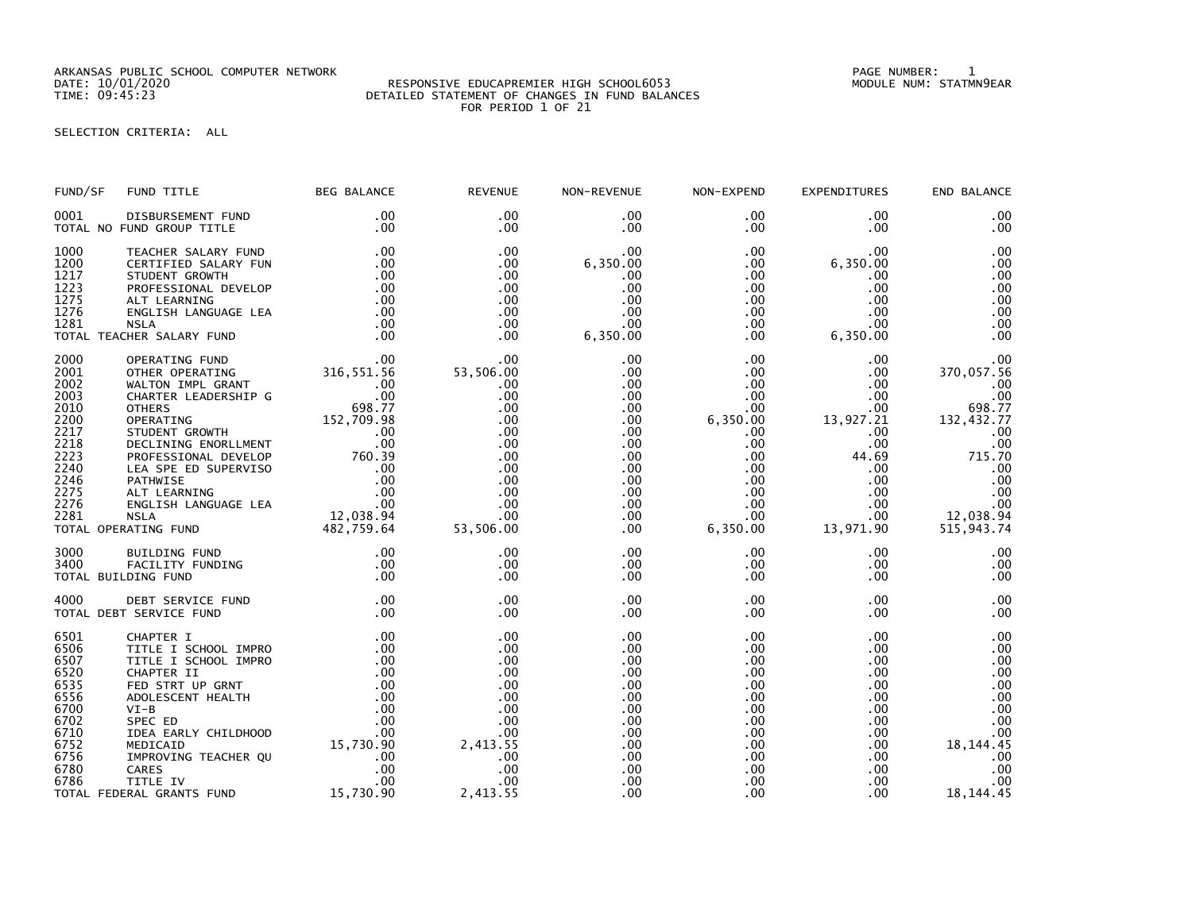ARKANSAS PUBLIC SCHOOL COMPUTER NETWORK<br>DATE: 10/01/2020 PAGE NUMBER: 1<br>TIME: 09:45:23 MODULE NUM: STATMN9EAR PERAILED STATEMENT OF CHANGES IN FUND BALANCES

## DATE: 10/01/2020 RESPONSIVE EDUCAPREMIER HIGH SCHOOL6053 MODULE NUM: STATMN9EAR TIME: 09:45:23 DETAILED STATEMENT OF CHANGES IN FUND BALANCES FOR PERIOD 1 OF 21

SELECTION CRITERIA: ALL

| FUND/SF                                                                                                      | FUND TITLE                                                                                                                                                                                                                                                                                                                                                                                                                                                                              | <b>BEG BALANCE</b>                                                                                                                                                                                         | <b>REVENUE</b>                                                                                                         | NON-REVENUE                                                                                                                                        | NON-EXPEND                                                                                                                                                                  | EXPENDITURES                                                                                                                                                               | END BALANCE                                                                                                                                        |
|--------------------------------------------------------------------------------------------------------------|-----------------------------------------------------------------------------------------------------------------------------------------------------------------------------------------------------------------------------------------------------------------------------------------------------------------------------------------------------------------------------------------------------------------------------------------------------------------------------------------|------------------------------------------------------------------------------------------------------------------------------------------------------------------------------------------------------------|------------------------------------------------------------------------------------------------------------------------|----------------------------------------------------------------------------------------------------------------------------------------------------|-----------------------------------------------------------------------------------------------------------------------------------------------------------------------------|----------------------------------------------------------------------------------------------------------------------------------------------------------------------------|----------------------------------------------------------------------------------------------------------------------------------------------------|
| 0001                                                                                                         | DISBURSEMENT FUND<br>TOTAL NO FUND GROUP TITLE                                                                                                                                                                                                                                                                                                                                                                                                                                          | .00<br>.00                                                                                                                                                                                                 | .00<br>$.00 \,$                                                                                                        | $.00 \,$<br>.00                                                                                                                                    | $.00 \,$<br>$.00 \,$                                                                                                                                                        | .00.<br>.00                                                                                                                                                                | .00<br>.00                                                                                                                                         |
| 1000<br>1200<br>1217<br>1223<br>1275<br>1276<br>1281                                                         | TEACHER SALARY FUND<br>CERTIFIED SALARY FUN<br>STUDENT GROWTH<br>PROFESSIONAL DEVELOP<br>ALT LEARNING<br>ENGLISH LANGUAGE LEA<br><b>NSLA</b><br>TOTAL TEACHER SALARY FUND                                                                                                                                                                                                                                                                                                               | .00<br>.00<br>.00<br>.00<br>.00<br>.00<br>.00                                                                                                                                                              | .00<br>$.00 \,$<br>.00<br>.00<br>.00<br>.00<br>$.00 \,$<br>$.00 \,$                                                    | $.00 \,$<br>6,350.00<br>.00<br>.00<br>.00<br>.00<br>00 .<br>00 .<br>6 , 350 . 00                                                                   | $.00 \,$<br>.00<br>$.00 \,$<br>.00<br>$.00\,$<br>.00<br>.00<br>$.00 \,$                                                                                                     | .00.<br>6,350.00<br>.00<br>.00<br>.00<br>.00<br>$00$ .<br>6,350.00                                                                                                         | .00<br>.00<br>.00<br>.00<br>.00<br>.00<br>.00<br>.00                                                                                               |
| 2000<br>2001<br>2002<br>2003<br>2010<br>2200<br>2217<br>2218<br>2223<br>2240<br>2246<br>2275<br>2276<br>2281 | ALA<br>AER SALARY FUND<br>OPERATING FUND<br>OTHER OPERATING 316,551.56<br>WALTON IMPL GRANT 00<br>CUARTER LEADERSHIP G 08.77<br>COLORER CALARER CONTROL 100<br>COLORER CALARER CONTROL 100<br>COLORER 198<br>OTHERS<br>OPERATING 152,709.98<br>STUDENT GROWTH .00<br>DECLINING ENORLLMENT .00<br>PROFESSIONAL DEVELOP 760.39<br>LEA SPE ED SUPERVISO .00<br>PATHWISE .00<br>PATHWISE .00<br>ALT LEARNING .00<br>ENGLISH LANGUAGE LEA .00<br>ENGLISH LANGUAGE LE<br>TOTAL OPERATING FUND |                                                                                                                                                                                                            | $53,506.00$<br>00.<br>.00<br>.00<br>.00<br>.00<br>.00<br>.00<br>.00<br>.00<br>.00<br>.00<br>.00<br>$00$ .<br>53,506.00 | .00<br>.00<br>.00<br>$.00 \,$<br>.00<br>$.00 \,$<br>$.00 \,$<br>$.00 \,$<br>.00<br>$.00 \,$<br>.00<br>$.00 \,$<br>$.00 \,$<br>$.00 \,$<br>$.00 \,$ | $.00 \,$<br>.00<br>$.00 \,$<br>$.00 \,$<br>$.00 \,$<br>6,350.00<br>$.00 \,$<br>$.00 \,$<br>$.00 \,$<br>$.00 \,$<br>$.00 \,$<br>$.00 \,$<br>$.00 \,$<br>$.00 \,$<br>6,350.00 | $.00 \,$<br>$.00 \,$<br>$.00 \,$<br>$.00 \,$<br>$.00 \,$<br>13,927.21<br>$.00 \,$<br>$.00 \,$<br>44.69<br>$.00 \,$<br>$.00 \,$<br>$.00 \,$<br>.00<br>$.00 \,$<br>13,971.90 | .00<br>370,057.56<br>.00<br>.00<br>698.77<br>132,432.77<br>.00<br>.00<br>715.70<br>.00<br>.00<br>.00<br>$\overline{00}$<br>12,038.94<br>515,943.74 |
| 3000<br>3400                                                                                                 | <b>BUILDING FUND</b><br>FACILITY FUNDING<br>TOTAL BUILDING FUND                                                                                                                                                                                                                                                                                                                                                                                                                         | .00<br>.00<br>.00                                                                                                                                                                                          | .00<br>.00<br>.00                                                                                                      | $.00 \,$<br>$.00 \,$<br>.00                                                                                                                        | $.00 \,$<br>$.00 \,$<br>$.00 \,$                                                                                                                                            | .00<br>$.00 \,$<br>.00                                                                                                                                                     | .00<br>.00<br>.00                                                                                                                                  |
| 4000                                                                                                         | DEBT SERVICE FUND<br>TOTAL DEBT SERVICE FUND                                                                                                                                                                                                                                                                                                                                                                                                                                            | .00<br>.00                                                                                                                                                                                                 | .00<br>.00.                                                                                                            | .00<br>.00                                                                                                                                         | $.00 \,$<br>.00                                                                                                                                                             | $.00 \,$<br>.00                                                                                                                                                            | .00<br>.00                                                                                                                                         |
| 6501<br>6506<br>6507<br>6520<br>6535<br>6556<br>6700<br>6702<br>6710<br>6752<br>6756<br>6780<br>6786         | CHAPTER I<br>TITLE I SCHOOL IMPRO<br>TITLE I SCHOOL IMPRO<br>CHAPTER II<br>FED STRT UP GRNT<br>ADOLESCENT HEALTH<br>$VI-B$<br>SPEC ED<br>IDEA EARLY CHILDHOOD<br>MEDICAID<br>IMPROVING TEACHER QU<br>CARES<br>TITLE IV<br>TOTAL FEDERAL GRANTS FUND                                                                                                                                                                                                                                     | .00<br>$PRO$<br>$PRO$ 00<br>$00$ 00<br>00<br>00<br>00<br>00<br>00<br>00<br>00<br>00<br>00<br>00<br>00<br>00<br>00<br>00<br>00<br>00<br>00<br>00<br>00<br>00<br>00<br>00<br>00<br>00<br>00<br>00<br>00<br>. | .00<br>.00<br>.00<br>.00<br>.00<br>.00<br>.00<br>.00<br>.00<br>2,413.55<br>.00<br>.00<br>.00<br>2,413.55               | .00<br>$.00 \,$<br>.00<br>.00<br>.00<br>$.00 \,$<br>$.00 \,$<br>$.00 \,$<br>.00<br>.00<br>.00<br>.00<br>.00<br>.00                                 | $.00 \,$<br>.00<br>$.00 \,$<br>.00<br>.00<br>$.00 \,$<br>$.00 \,$<br>$.00 \,$<br>$.00 \,$<br>$.00 \,$<br>$.00 \,$<br>.00<br>$.00 \,$<br>$.00 \,$                            | .00<br>.00<br>.00<br>.00<br>$.00 \,$<br>.00<br>.00<br>$.00 \,$<br>$.00 \,$<br>$.00 \,$<br>$.00 \,$<br>$.00 \,$<br>$.00 \,$<br>$.00 \,$                                     | .00<br>.00<br>.00<br>.00<br>.00<br>.00<br>.00<br>.00<br>.00<br>18, 144. 45<br>.00<br>.00<br>.00<br>18, 144. 45                                     |